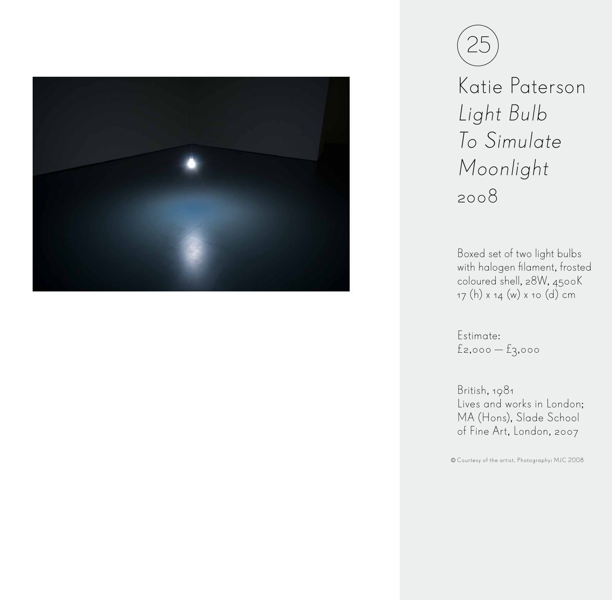



Katie Paterson Light Bulb To Simulate Moonlight 2008

Boxed set of two light bulbs with halogen filament, frosted coloured shell, 28W, 4500K 17 (h) x 14 (w) x 10 (d) cm

Estimate: £2,000 — £3,000

British, 1981 Lives and works in London; MA (Hons), Slade School of Fine Art, London, 2007

Courtesy of the artist. Photography: MJC 2008